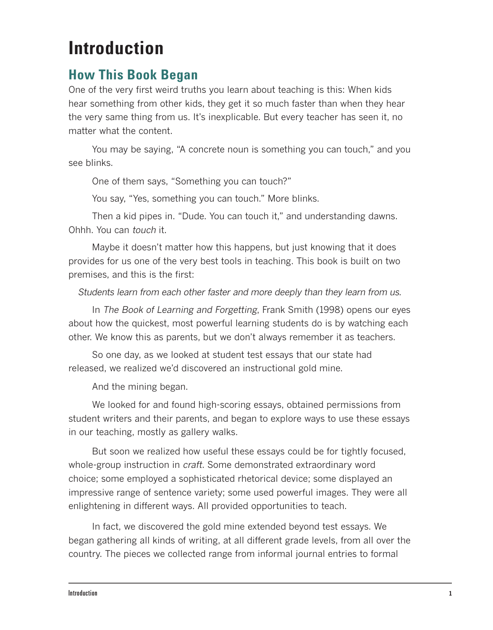# **Introduction**

# **How This Book Began**

One of the very first weird truths you learn about teaching is this: When kids hear something from other kids, they get it so much faster than when they hear the very same thing from us. It's inexplicable. But every teacher has seen it, no matter what the content.

You may be saying, "A concrete noun is something you can touch," and you see blinks.

One of them says, "Something you can touch?"

You say, "Yes, something you can touch." More blinks.

Then a kid pipes in. "Dude. You can touch it," and understanding dawns. Ohhh. You can touch it.

Maybe it doesn't matter how this happens, but just knowing that it does provides for us one of the very best tools in teaching. This book is built on two premises, and this is the first:

Students learn from each other faster and more deeply than they learn from us.

In The Book of Learning and Forgetting, Frank Smith (1998) opens our eyes about how the quickest, most powerful learning students do is by watching each other. We know this as parents, but we don't always remember it as teachers.

So one day, as we looked at student test essays that our state had released, we realized we'd discovered an instructional gold mine.

And the mining began.

We looked for and found high-scoring essays, obtained permissions from student writers and their parents, and began to explore ways to use these essays in our teaching, mostly as gallery walks.

But soon we realized how useful these essays could be for tightly focused, whole-group instruction in *craft*. Some demonstrated extraordinary word choice; some employed a sophisticated rhetorical device; some displayed an impressive range of sentence variety; some used powerful images. They were all enlightening in different ways. All provided opportunities to teach.

In fact, we discovered the gold mine extended beyond test essays. We began gathering all kinds of writing, at all different grade levels, from all over the country. The pieces we collected range from informal journal entries to formal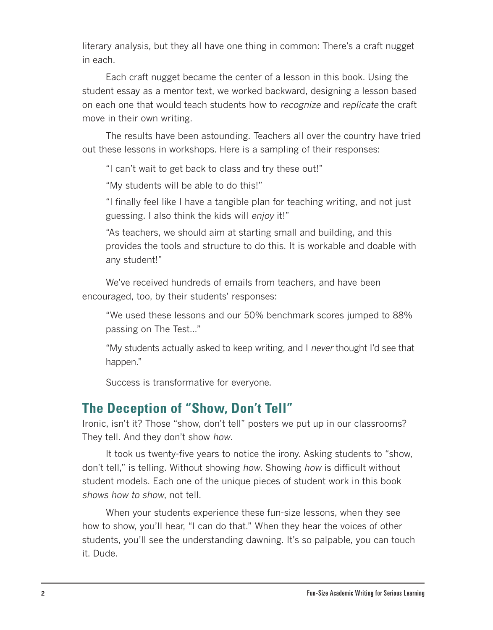literary analysis, but they all have one thing in common: There's a craft nugget in each.

Each craft nugget became the center of a lesson in this book. Using the student essay as a mentor text, we worked backward, designing a lesson based on each one that would teach students how to recognize and replicate the craft move in their own writing.

The results have been astounding. Teachers all over the country have tried out these lessons in workshops. Here is a sampling of their responses:

"I can't wait to get back to class and try these out!"

"My students will be able to do this!"

"I finally feel like I have a tangible plan for teaching writing, and not just guessing. I also think the kids will enjoy it!"

"As teachers, we should aim at starting small and building, and this provides the tools and structure to do this. It is workable and doable with any student!"

We've received hundreds of emails from teachers, and have been encouraged, too, by their students' responses:

"We used these lessons and our 50% benchmark scores jumped to 88% passing on The Test..."

"My students actually asked to keep writing, and I never thought I'd see that happen."

Success is transformative for everyone.

# **The Deception of "Show, Don't Tell"**

Ironic, isn't it? Those "show, don't tell" posters we put up in our classrooms? They tell. And they don't show how.

It took us twenty-five years to notice the irony. Asking students to "show, don't tell," is telling. Without showing how. Showing how is difficult without student models. Each one of the unique pieces of student work in this book shows how to show, not tell.

When your students experience these fun-size lessons, when they see how to show, you'll hear, "I can do that." When they hear the voices of other students, you'll see the understanding dawning. It's so palpable, you can touch it. Dude.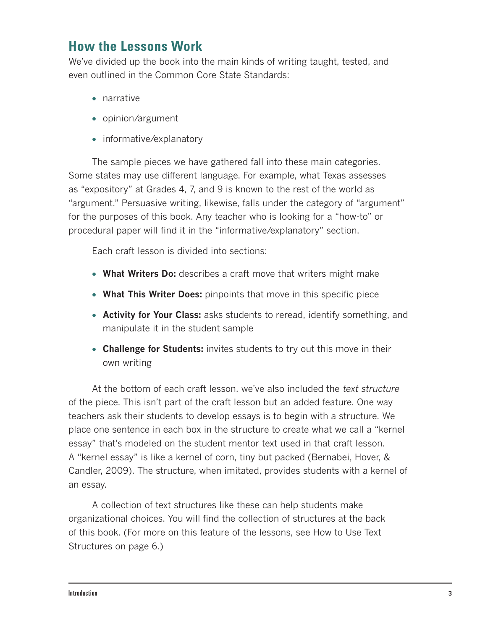#### **How the Lessons Work**

We've divided up the book into the main kinds of writing taught, tested, and even outlined in the Common Core State Standards:

- narrative
- opinion/argument
- informative/explanatory

The sample pieces we have gathered fall into these main categories. Some states may use different language. For example, what Texas assesses as "expository" at Grades 4, 7, and 9 is known to the rest of the world as "argument." Persuasive writing, likewise, falls under the category of "argument" for the purposes of this book. Any teacher who is looking for a "how-to" or procedural paper will find it in the "informative/explanatory" section.

Each craft lesson is divided into sections:

- What Writers Do: describes a craft move that writers might make
- What This Writer Does: pinpoints that move in this specific piece
- **Activity for Your Class:** asks students to reread, identify something, and manipulate it in the student sample
- **Challenge for Students:** invites students to try out this move in their own writing

At the bottom of each craft lesson, we've also included the text structure of the piece. This isn't part of the craft lesson but an added feature. One way teachers ask their students to develop essays is to begin with a structure. We place one sentence in each box in the structure to create what we call a "kernel essay" that's modeled on the student mentor text used in that craft lesson. A "kernel essay" is like a kernel of corn, tiny but packed (Bernabei, Hover, & Candler, 2009). The structure, when imitated, provides students with a kernel of an essay.

A collection of text structures like these can help students make organizational choices. You will find the collection of structures at the back of this book. (For more on this feature of the lessons, see How to Use Text Structures on page 6.)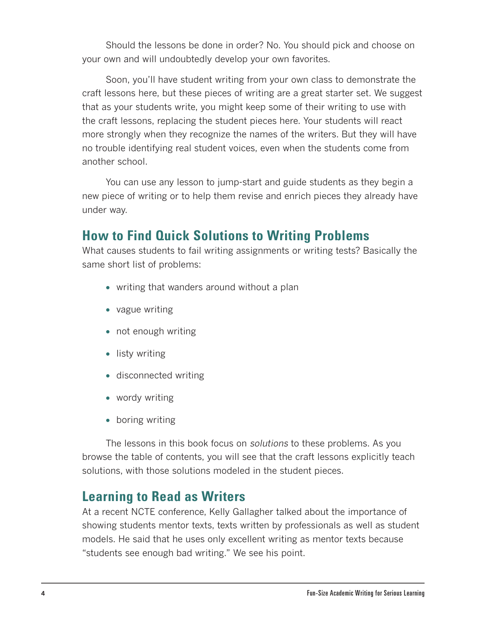Should the lessons be done in order? No. You should pick and choose on your own and will undoubtedly develop your own favorites.

Soon, you'll have student writing from your own class to demonstrate the craft lessons here, but these pieces of writing are a great starter set. We suggest that as your students write, you might keep some of their writing to use with the craft lessons, replacing the student pieces here. Your students will react more strongly when they recognize the names of the writers. But they will have no trouble identifying real student voices, even when the students come from another school.

You can use any lesson to jump-start and guide students as they begin a new piece of writing or to help them revise and enrich pieces they already have under way.

### **How to Find Quick Solutions to Writing Problems**

What causes students to fail writing assignments or writing tests? Basically the same short list of problems:

- writing that wanders around without a plan
- vague writing
- not enough writing
- listy writing
- disconnected writing
- wordy writing
- boring writing

The lessons in this book focus on solutions to these problems. As you browse the table of contents, you will see that the craft lessons explicitly teach solutions, with those solutions modeled in the student pieces.

### **Learning to Read as Writers**

At a recent NCTE conference, Kelly Gallagher talked about the importance of showing students mentor texts, texts written by professionals as well as student models. He said that he uses only excellent writing as mentor texts because "students see enough bad writing." We see his point.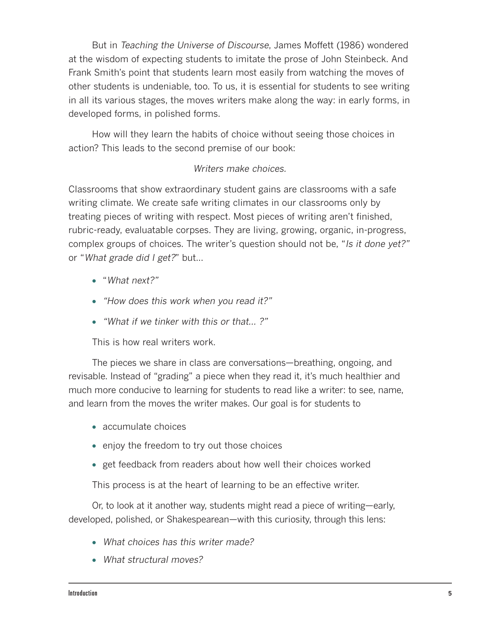But in Teaching the Universe of Discourse, James Moffett (1986) wondered at the wisdom of expecting students to imitate the prose of John Steinbeck. And Frank Smith's point that students learn most easily from watching the moves of other students is undeniable, too. To us, it is essential for students to see writing in all its various stages, the moves writers make along the way: in early forms, in developed forms, in polished forms.

How will they learn the habits of choice without seeing those choices in action? This leads to the second premise of our book:

#### Writers make choices.

Classrooms that show extraordinary student gains are classrooms with a safe writing climate. We create safe writing climates in our classrooms only by treating pieces of writing with respect. Most pieces of writing aren't finished, rubric-ready, evaluatable corpses. They are living, growing, organic, in-progress, complex groups of choices. The writer's question should not be, "Is it done yet?" or "What grade did I get?" but...

- "What next?"
- "How does this work when you read it?"
- "What if we tinker with this or that...?"

This is how real writers work.

The pieces we share in class are conversations—breathing, ongoing, and revisable. Instead of "grading" a piece when they read it, it's much healthier and much more conducive to learning for students to read like a writer: to see, name, and learn from the moves the writer makes. Our goal is for students to

- accumulate choices
- enjoy the freedom to try out those choices
- get feedback from readers about how well their choices worked

This process is at the heart of learning to be an effective writer.

Or, to look at it another way, students might read a piece of writing—early, developed, polished, or Shakespearean—with this curiosity, through this lens:

- What choices has this writer made?
- What structural moves?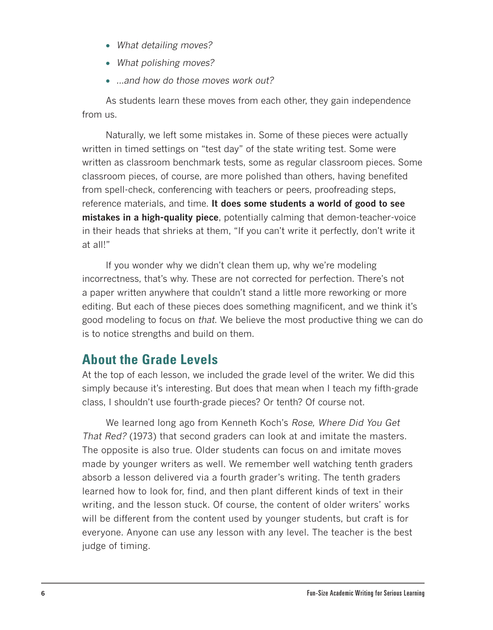- What detailing moves?
- What polishing moves?
- ...and how do those moves work out?

As students learn these moves from each other, they gain independence from us.

Naturally, we left some mistakes in. Some of these pieces were actually written in timed settings on "test day" of the state writing test. Some were written as classroom benchmark tests, some as regular classroom pieces. Some classroom pieces, of course, are more polished than others, having benefited from spell-check, conferencing with teachers or peers, proofreading steps, reference materials, and time. **It does some students a world of good to see mistakes in a high-quality piece**, potentially calming that demon-teacher-voice in their heads that shrieks at them, "If you can't write it perfectly, don't write it at all!"

If you wonder why we didn't clean them up, why we're modeling incorrectness, that's why. These are not corrected for perfection. There's not a paper written anywhere that couldn't stand a little more reworking or more editing. But each of these pieces does something magnificent, and we think it's good modeling to focus on that. We believe the most productive thing we can do is to notice strengths and build on them.

### **About the Grade Levels**

At the top of each lesson, we included the grade level of the writer. We did this simply because it's interesting. But does that mean when I teach my fifth-grade class, I shouldn't use fourth-grade pieces? Or tenth? Of course not.

We learned long ago from Kenneth Koch's Rose, Where Did You Get That Red? (1973) that second graders can look at and imitate the masters. The opposite is also true. Older students can focus on and imitate moves made by younger writers as well. We remember well watching tenth graders absorb a lesson delivered via a fourth grader's writing. The tenth graders learned how to look for, find, and then plant different kinds of text in their writing, and the lesson stuck. Of course, the content of older writers' works will be different from the content used by younger students, but craft is for everyone. Anyone can use any lesson with any level. The teacher is the best judge of timing.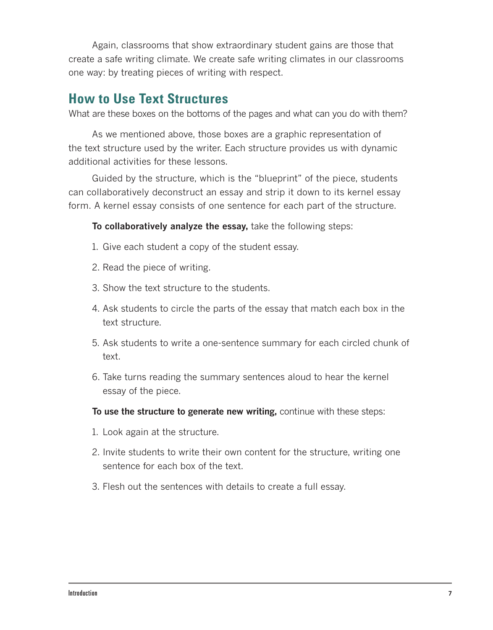Again, classrooms that show extraordinary student gains are those that create a safe writing climate. We create safe writing climates in our classrooms one way: by treating pieces of writing with respect.

#### **How to Use Text Structures**

What are these boxes on the bottoms of the pages and what can you do with them?

As we mentioned above, those boxes are a graphic representation of the text structure used by the writer. Each structure provides us with dynamic additional activities for these lessons.

Guided by the structure, which is the "blueprint" of the piece, students can collaboratively deconstruct an essay and strip it down to its kernel essay form. A kernel essay consists of one sentence for each part of the structure.

**To collaboratively analyze the essay,** take the following steps:

- 1. Give each student a copy of the student essay.
- 2. Read the piece of writing.
- 3. Show the text structure to the students.
- 4. Ask students to circle the parts of the essay that match each box in the text structure.
- 5. Ask students to write a one-sentence summary for each circled chunk of text.
- 6. Take turns reading the summary sentences aloud to hear the kernel essay of the piece.
- **To use the structure to generate new writing,** continue with these steps:
- 1. Look again at the structure.
- 2. Invite students to write their own content for the structure, writing one sentence for each box of the text.
- 3. Flesh out the sentences with details to create a full essay.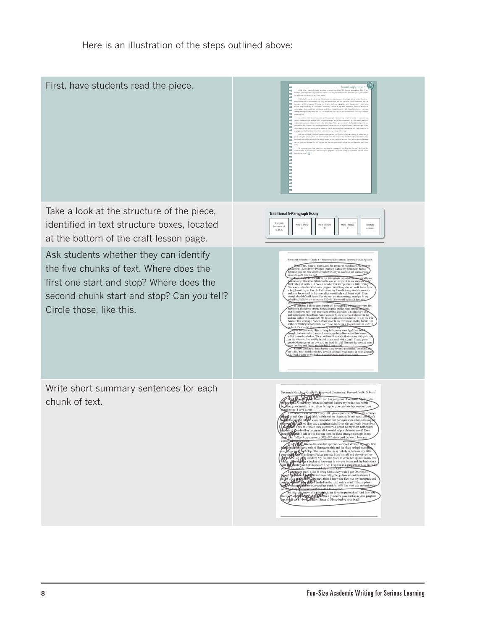Here is an illustration of the steps outlined above:

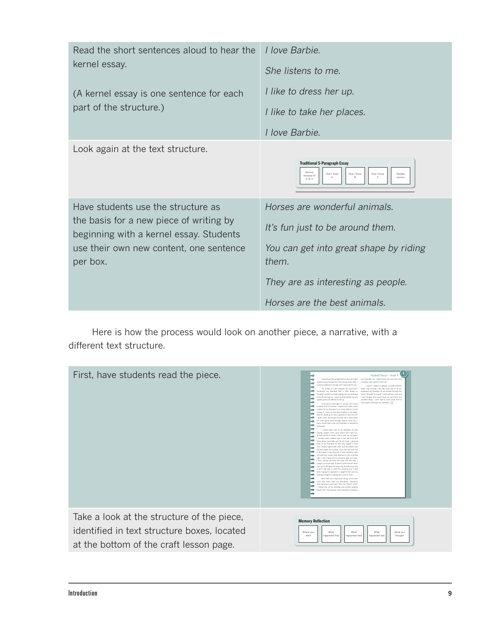| Read the short sentences aloud to hear the<br>kernel essay.                                                                                                                     | I love Barbie.                                                                                                                                     |
|---------------------------------------------------------------------------------------------------------------------------------------------------------------------------------|----------------------------------------------------------------------------------------------------------------------------------------------------|
|                                                                                                                                                                                 | She listens to me.                                                                                                                                 |
| (A kernel essay is one sentence for each                                                                                                                                        | I like to dress her up.                                                                                                                            |
| part of the structure.)                                                                                                                                                         | I like to take her places.                                                                                                                         |
|                                                                                                                                                                                 | I love Barbie.                                                                                                                                     |
| Look again at the text structure.                                                                                                                                               |                                                                                                                                                    |
|                                                                                                                                                                                 | <b>Traditional 5-Paragraph Essay</b><br>Opinion<br>How I know<br>How I know<br>How I know<br>Restate<br>because of<br>c<br>opinion<br>B<br>A, B, C |
| Have students use the structure as<br>the basis for a new piece of writing by<br>beginning with a kernel essay. Students<br>use their own new content, one sentence<br>per box. | Horses are wonderful animals.                                                                                                                      |
|                                                                                                                                                                                 | It's fun just to be around them.                                                                                                                   |
|                                                                                                                                                                                 | You can get into great shape by riding<br>them.                                                                                                    |
|                                                                                                                                                                                 | They are as interesting as people.                                                                                                                 |
|                                                                                                                                                                                 | Horses are the best animals.                                                                                                                       |

Here is how the process would look on another piece, a narrative, with a different text structure.

| First, have students read the piece.                                                                                                 | Elizabeth Stewart - Grade<br>tune beneath me. I didn't know who won but I has<br>I looked up with amazement as the sun's light<br>made its way through the trees along Holly Lake. I<br>a feeling I was about to find out.<br>could've watched it all day, but I had a bet to win.<br>"I won?" I yelled in delight, I couldn't believe<br>"10 dollars for who catches the most fish!"<br>what I was hearing. "Yep, the score was 17 to 14."<br>exclaimed my Grandpa. Still a little shaky on<br>explained my Grandoa. As we walked through the<br>thought I nodded my head making sure my Grandpa<br>forest I thought to myself "I can't believe I won and<br>knew the bet was on. I spun around toward my red,<br>I can't believe how much hope you can find in the<br>sparkly pole and started to set up.<br>smallest thing. I can't wait to come back here to<br>once again challenge my Grandpal" 5<br>It seemed it took ages to set up, but I knew<br>it barely took 5 minutes. I studied the water while<br>waiting for my Grandoa to be ready. Before I could<br>realize it, I saw my Grandpa's bobber in the water.<br>Was he cheating, he was supposed to wait for me?<br>I didn't care I had to get my hook out in open water<br>for a fair earne. Even though anyone could win. I<br>had a doubt that I will, my Grandpa's a wonderful<br>fisherman.<br>I looked back over at my Grandpa, he had<br>already caught 2 fish, and I didn't even have one.<br>At that moment I knew I had to step up my earne.<br>quickly power walked over to the fish food and<br>threw three hand fulls over by my hook. I elanced<br>back at my Grandpa, he had only causht 1 more<br>fish. I slowly sighed with relief, but my bobber was<br>dunked under the surface. Once the fish was out<br>of the water. I was stunned. It was marvalus, with<br>red and blue scales that gleamed in the morning<br>light. I don't know but it somehow gave me hope.<br>I then quickly sent the fish back into the lake. I<br>caught one more fish. It wasn't quite like the other<br>one, but it still gave me hope. My Grandpa now had<br>4 and I still had 2, untill the amazing hour I had<br>been hoping for appeared. I caught 8 fish and my<br>Grandpa caught 4, making the score 10 to 8.<br>More and more tugs came along, some were<br>mine and some were my Grandpa's. Questions<br>were dancine in my head. "Did I win? Was it a tie?"<br>looked over at my Grandpa and started walking<br>toward him. The wooden dock seemed to squeak a |
|--------------------------------------------------------------------------------------------------------------------------------------|----------------------------------------------------------------------------------------------------------------------------------------------------------------------------------------------------------------------------------------------------------------------------------------------------------------------------------------------------------------------------------------------------------------------------------------------------------------------------------------------------------------------------------------------------------------------------------------------------------------------------------------------------------------------------------------------------------------------------------------------------------------------------------------------------------------------------------------------------------------------------------------------------------------------------------------------------------------------------------------------------------------------------------------------------------------------------------------------------------------------------------------------------------------------------------------------------------------------------------------------------------------------------------------------------------------------------------------------------------------------------------------------------------------------------------------------------------------------------------------------------------------------------------------------------------------------------------------------------------------------------------------------------------------------------------------------------------------------------------------------------------------------------------------------------------------------------------------------------------------------------------------------------------------------------------------------------------------------------------------------------------------------------------------------------------------------------------------------------------------------------------------------------------------------------------------------------------------------------------------------------------------------------------------------------------------------------------------------------------------------------------------------------------------------------------------------------------------------------------------------------------------------------------------|
| Take a look at the structure of the piece,<br>identified in text structure boxes, located<br>at the bottom of the craft lesson page. | <b>Memory Reflection</b><br>What<br>What<br>Where you<br>What<br>What you<br>happened first<br>happened next<br>were<br>happened last<br>thought                                                                                                                                                                                                                                                                                                                                                                                                                                                                                                                                                                                                                                                                                                                                                                                                                                                                                                                                                                                                                                                                                                                                                                                                                                                                                                                                                                                                                                                                                                                                                                                                                                                                                                                                                                                                                                                                                                                                                                                                                                                                                                                                                                                                                                                                                                                                                                                       |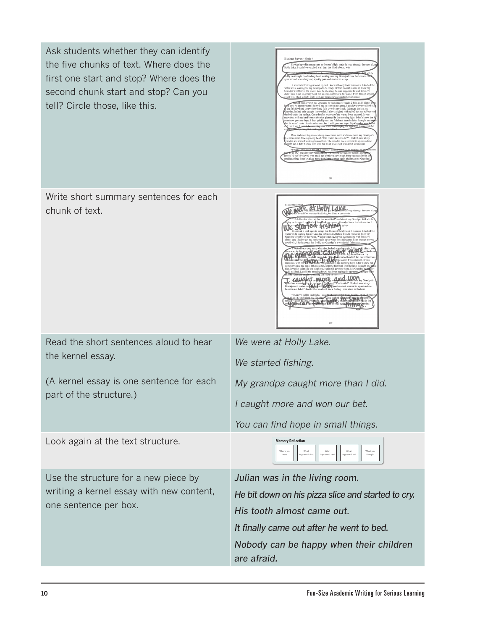| Ask students whether they can identify<br>the five chunks of text. Where does the<br>first one start and stop? Where does the<br>second chunk start and stop? Can you<br>tell? Circle those, like this. | Elizabeth Stewart - Grade 4<br>looked up with amazement as the sun's light made its way through the trees al<br>folly Lake. I could've watched it all day, but I had a bet to win<br>La little<br>ty on thought I nodded my head making sure my Grandpa knew the bet was o<br>around toward my red, sparkly pole and started to set up.<br>It seemed it took ages to set up, but I knew it barely took 5 minutes. I studied the<br>water while waiting for my Grandpa to be ready. Before I could realize it, I saw my<br>Grandpa's bobber in the water. Was he cheating, he was supposed to wait for me? I<br>didn't care I had to get my hook out in open water for a fair game. Even though an<br>d win, I had a doubt that I will, my Grandpa's a wonderful fishern<br>back over at my Grandpa, he had already caught 2 fish, and I didn'<br>For one. At that moment I knew I had to step up my game. I quickly power walked the fish food and threw three hand fulls over by my hook. I glanced back at my<br>ndpa, he had only caught 1 more fish. I slowly sighed with relief, but my bobb<br>lunked under the surface. Once the fish was out of the water, I was stunned. It was<br>arvalus, with red and blue scales that gleamed in the morning light. I don't know but<br>omehow gave me hope. I then quickly sent the fish back into the lake. I caught one mish. It wasn't quite like the other one, but it still gave me hope. My Grandpa now but<br>ht 8 fish<br>g hour I had been hoping for appe<br>More and more tugs came along, some were mine and some were my Grandpa'<br>tions were dancing in my head, "Did I win? Was it a tie?" I looked over at my<br>indpa and started walking toward him. The wooden dock seemed to squeak a tune<br>gath me. I didn't know who won but I had a feeling I was about to find out.<br>explained my Gra<br>nyself "I can't believe I won and I can't believe how much hope you can find in t<br>mallest thing. I can't wait to come back here to once again challenge my Gran |
|---------------------------------------------------------------------------------------------------------------------------------------------------------------------------------------------------------|-----------------------------------------------------------------------------------------------------------------------------------------------------------------------------------------------------------------------------------------------------------------------------------------------------------------------------------------------------------------------------------------------------------------------------------------------------------------------------------------------------------------------------------------------------------------------------------------------------------------------------------------------------------------------------------------------------------------------------------------------------------------------------------------------------------------------------------------------------------------------------------------------------------------------------------------------------------------------------------------------------------------------------------------------------------------------------------------------------------------------------------------------------------------------------------------------------------------------------------------------------------------------------------------------------------------------------------------------------------------------------------------------------------------------------------------------------------------------------------------------------------------------------------------------------------------------------------------------------------------------------------------------------------------------------------------------------------------------------------------------------------------------------------------------------------------------------------------------------------------------------------------------------------------------------------------------------------------------------------------------------------------------------------------|
| Write short summary sentences for each<br>chunk of text.                                                                                                                                                | exclaimed my Grandpa. Still a littl<br>ad making sure my Grandpa knew the bet was on.<br>HEMMA SE UP<br>ed it took ages to set up, but I knew it barely took 5 minutes. I studied the<br>hile waiting for my Grandpa to be ready. Before I could realize it, I saw my<br>Grandpa's bobber in the water. Was he cheating, he was supposed to wait for me? I<br>didn't care I had to get my hook out in open water for a fair game. Even the<br>uld win, I had a doubt that I will, my Grandpa's a wonderful fish<br>over at my Grandpa, he had already caught 2 fish and 1 didn't<br>ment 1 lines. The condition of a final state of the condition of the conditional state of the condition of the<br>problem in the condition of the condition of the<br>denked under the slighter Part the 1sh west and of the water, I was stunned. It was<br>narvalus, with red in the scales that gleaned in the morning light. I don't know b<br>w gave me hope. I then quickly sent the fish back into the lake. I caught on<br>fish. It wasn't quite like the other one, but it still gave me hope. My Grandpa and I still had 2, untill the amazing hour I had been hoping for appeared. Fail<br>The <b>COMPACT COMPACT COMPACT COMPACT COMPACT COMPACT COMPACT COMPACT COMPACT COMPACT COMPACT COMPACT COMPACT COMPACT COMPACT COMPACT COMPACT COMPACT COMPACT COMPACT COMPACT COMPACT COMPACT COMPACT COMPACT COMPACT COMPACT C</b><br>on?" I velled in delight. I<br>as 17 to 14." explained my Grandose As we walked though the finest Hought to<br>year "I can't believe I worked it dur't believe Mey much hone and can't it d in the<br>my HOUng COD Naister Charles Law to once again high propaga G<br>HVITVOS                                                                                                                                                                                                                                                                                                                        |
| Read the short sentences aloud to hear<br>the kernel essay.                                                                                                                                             | We were at Holly Lake.<br>We started fishing.                                                                                                                                                                                                                                                                                                                                                                                                                                                                                                                                                                                                                                                                                                                                                                                                                                                                                                                                                                                                                                                                                                                                                                                                                                                                                                                                                                                                                                                                                                                                                                                                                                                                                                                                                                                                                                                                                                                                                                                           |
| (A kernel essay is one sentence for each<br>part of the structure.)                                                                                                                                     | My grandpa caught more than I did.<br>I caught more and won our bet.<br>You can find hope in small things.                                                                                                                                                                                                                                                                                                                                                                                                                                                                                                                                                                                                                                                                                                                                                                                                                                                                                                                                                                                                                                                                                                                                                                                                                                                                                                                                                                                                                                                                                                                                                                                                                                                                                                                                                                                                                                                                                                                              |
| Look again at the text structure.                                                                                                                                                                       | <b>Memory Reflection</b><br>What<br>What<br>What you<br>Where you<br>What<br>ened first<br>pened nex<br>appened las<br>thought                                                                                                                                                                                                                                                                                                                                                                                                                                                                                                                                                                                                                                                                                                                                                                                                                                                                                                                                                                                                                                                                                                                                                                                                                                                                                                                                                                                                                                                                                                                                                                                                                                                                                                                                                                                                                                                                                                          |
| Use the structure for a new piece by                                                                                                                                                                    | Julian was in the living room.                                                                                                                                                                                                                                                                                                                                                                                                                                                                                                                                                                                                                                                                                                                                                                                                                                                                                                                                                                                                                                                                                                                                                                                                                                                                                                                                                                                                                                                                                                                                                                                                                                                                                                                                                                                                                                                                                                                                                                                                          |
| writing a kernel essay with new content,<br>one sentence per box.                                                                                                                                       | He bit down on his pizza slice and started to cry.                                                                                                                                                                                                                                                                                                                                                                                                                                                                                                                                                                                                                                                                                                                                                                                                                                                                                                                                                                                                                                                                                                                                                                                                                                                                                                                                                                                                                                                                                                                                                                                                                                                                                                                                                                                                                                                                                                                                                                                      |
|                                                                                                                                                                                                         | His tooth almost came out.                                                                                                                                                                                                                                                                                                                                                                                                                                                                                                                                                                                                                                                                                                                                                                                                                                                                                                                                                                                                                                                                                                                                                                                                                                                                                                                                                                                                                                                                                                                                                                                                                                                                                                                                                                                                                                                                                                                                                                                                              |
|                                                                                                                                                                                                         | It finally came out after he went to bed.                                                                                                                                                                                                                                                                                                                                                                                                                                                                                                                                                                                                                                                                                                                                                                                                                                                                                                                                                                                                                                                                                                                                                                                                                                                                                                                                                                                                                                                                                                                                                                                                                                                                                                                                                                                                                                                                                                                                                                                               |
|                                                                                                                                                                                                         | Nobody can be happy when their children<br>are afraid.                                                                                                                                                                                                                                                                                                                                                                                                                                                                                                                                                                                                                                                                                                                                                                                                                                                                                                                                                                                                                                                                                                                                                                                                                                                                                                                                                                                                                                                                                                                                                                                                                                                                                                                                                                                                                                                                                                                                                                                  |